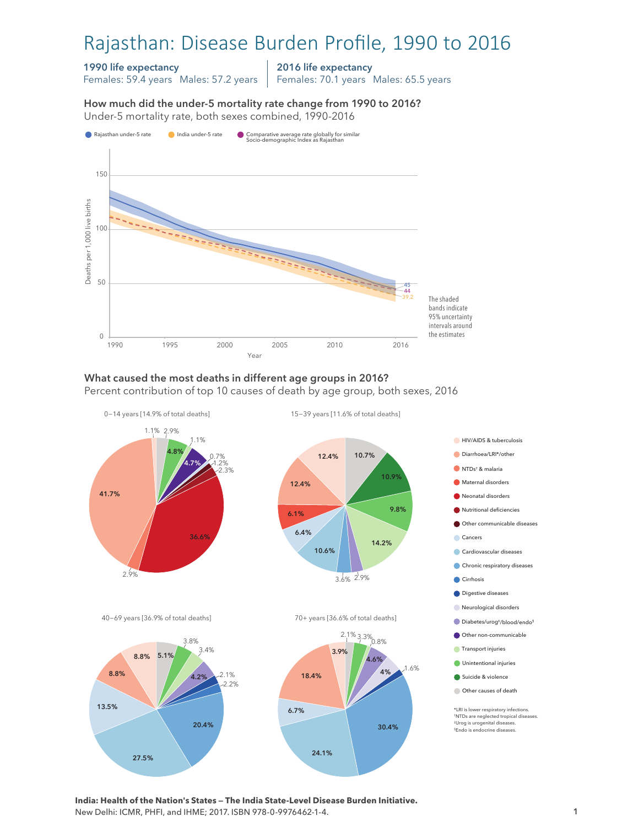# Rajasthan: Disease Burden Profile, 1990 to 2016

### 1990 life expectancy

Females: 59.4 years Males: 57.2 years

2016 life expectancy

Females: 70.1 years Males: 65.5 years

How much did the under-5 mortality rate change from 1990 to 2016? Under-5 mortality rate, both sexes combined, 1990-2016 Under-5 mortality rate, both sexes combined, 1990-2016 How much did the under-5 mortality rate change from 1990 to 2016?



### What caused the most deaths in different age groups in 2016?

Percent contribution of top 10 causes of death by age group, both sexes, 2016



24.1%

**India: Health of the Nation's States — The India State-Level Disease Burden Initiative.**  New Delhi: ICMR, PHFI, and IHME; 2017. ISBN 978-0-9976462-1-4.

27.5%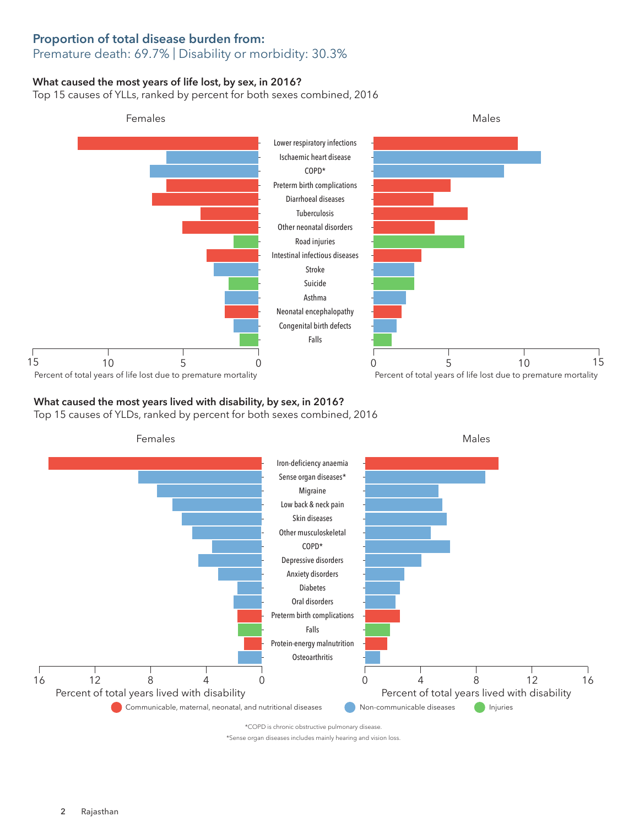### Proportion of total disease burden from: Premature death: 69.7% | Disability or morbidity: 30.3%

### What caused the most years of life lost, by sex, in 2016?

Top 15 causes of YLLs, ranked by percent for both sexes combined, 2016



## What caused the most years lived with disability, by sex, in 2016?

Top 15 causes of YLDs, ranked by percent for both sexes combined, 2016



\*COPD is chronic obstructive pulmonary disease.

\*Sense organ diseases includes mainly hearing and vision loss.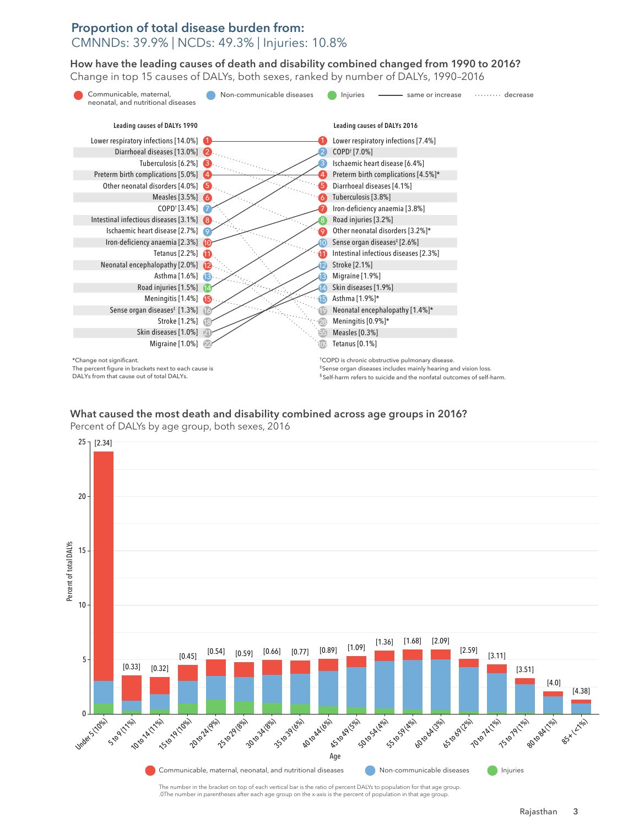### Proportion of total disease burden from: CMNNDs: 39.9% | NCDs: 49.3% | Injuries: 10.8%

How have the leading causes of death and disability combined changed from 1990 to 2016? How have the leading causes of death and disability combined changed from 1990 to 2016? Change in top 15 causes of DALYs, both sexes, ranked by number of DALYs, 1990–2016 Change in top 15 causes of DALYs, both sexes, ranked by number of DALYs, 1990–2016



The percent figure in brackets next to each cause is DALYs from that cause out of total DALYs.

‡Sense organ diseases includes mainly hearing and vision loss. § Self-harm refers to suicide and the nonfatal outcomes of self-harm.

## What caused the most death and disability combined across age groups in 2016? What caused the most death and disability combined across age groups in 2016?

Percent of DALYs by age group, both sexes, 2016 Percent of DALYs by age group, both sexes, 2016



The number in the bracket on top of each vertical bar is the ratio of percent DALYs to population for that age group. .0The number in parentheses after each age group on the x-axis is the percent of population in that age group.